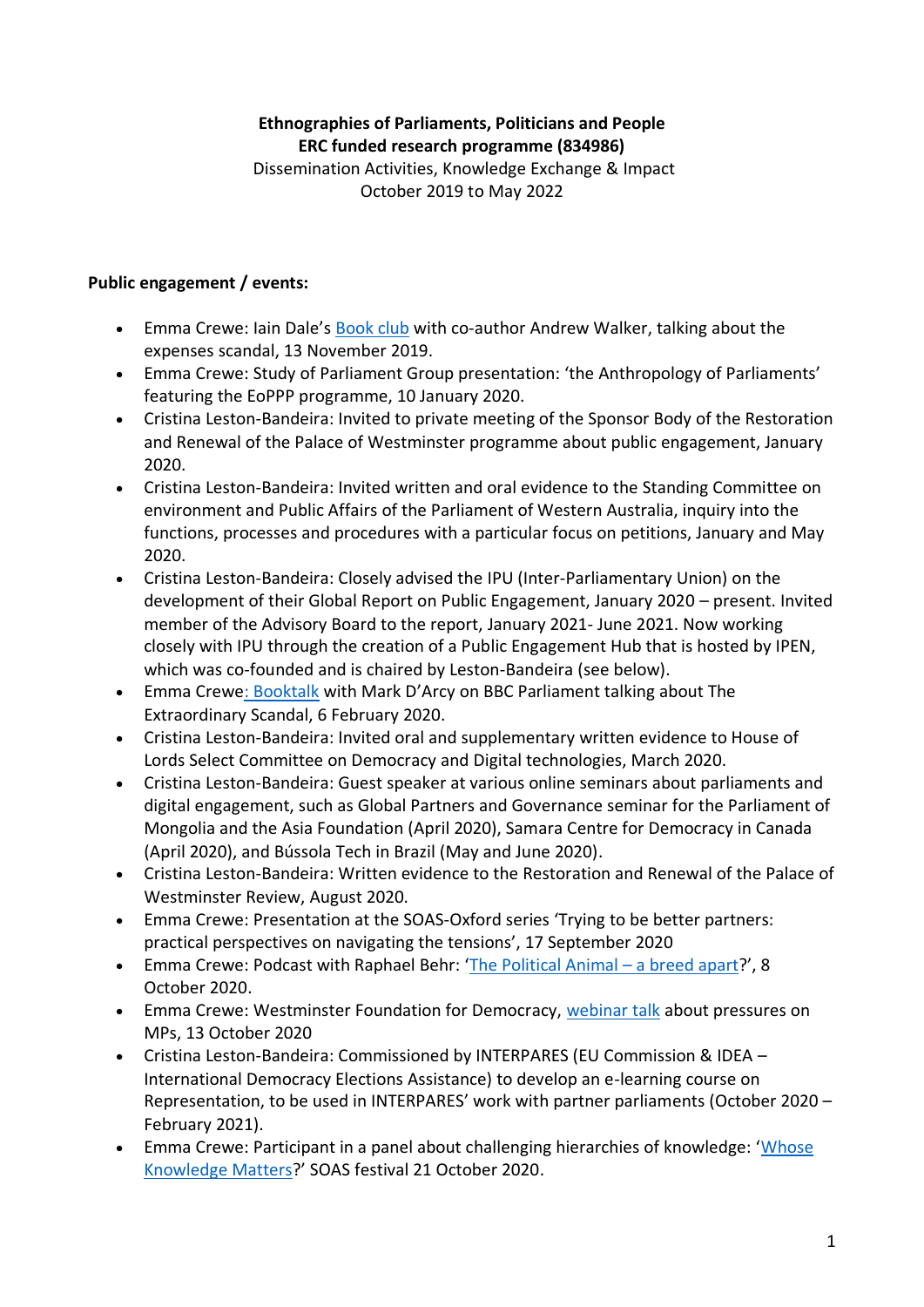## **Ethnographies of Parliaments, Politicians and People ERC funded research programme (834986)** Dissemination Activities, Knowledge Exchange & Impact

October 2019 to May 2022

## **Public engagement / events:**

- Emma Crewe: Iain Dale's [Book club](https://podcasts.apple.com/gb/podcast/chapter-74-emma-crewe-and-andrew-walker/id1436324930?i=1000456865616) with co-author Andrew Walker, talking about the expenses scandal, 13 November 2019.
- Emma Crewe: Study of Parliament Group presentation: 'the Anthropology of Parliaments' featuring the EoPPP programme, 10 January 2020.
- Cristina Leston-Bandeira: Invited to private meeting of the Sponsor Body of the Restoration and Renewal of the Palace of Westminster programme about public engagement, January 2020.
- Cristina Leston-Bandeira: Invited written and oral evidence to the Standing Committee on environment and Public Affairs of the Parliament of Western Australia, inquiry into the functions, processes and procedures with a particular focus on petitions, January and May 2020.
- Cristina Leston-Bandeira: Closely advised the IPU (Inter-Parliamentary Union) on the development of their Global Report on Public Engagement, January 2020 – present. Invited member of the Advisory Board to the report, January 2021- June 2021. Now working closely with IPU through the creation of a Public Engagement Hub that is hosted by IPEN, which was co-founded and is chaired by Leston-Bandeira (see below).
- Emma Crew[e: Booktalk](https://www.bbc.co.uk/programmes/m000flkz) with Mark D'Arcy on BBC Parliament talking about The Extraordinary Scandal, 6 February 2020.
- Cristina Leston-Bandeira: Invited oral and supplementary written evidence to House of Lords Select Committee on Democracy and Digital technologies, March 2020.
- Cristina Leston-Bandeira: Guest speaker at various online seminars about parliaments and digital engagement, such as Global Partners and Governance seminar for the Parliament of Mongolia and the Asia Foundation (April 2020), Samara Centre for Democracy in Canada (April 2020), and Bússola Tech in Brazil (May and June 2020).
- Cristina Leston-Bandeira: Written evidence to the Restoration and Renewal of the Palace of Westminster Review, August 2020.
- Emma Crewe: Presentation at the SOAS-Oxford series 'Trying to be better partners: practical perspectives on navigating the tensions', 17 September 2020
- Emma Crewe: Podcast with Raphael Behr: '[The Political Animal](https://grnpp.org/output/the-political-animal-a-breed-apart-with-rafael-behr-and-emma-crewe/)  a breed apart?', 8 October 2020.
- Emma Crewe: Westminster Foundation for Democracy, [webinar talk](https://www.wfd.org/events/an-anthropology-of-mps) about pressures on MPs, 13 October 2020
- Cristina Leston-Bandeira: Commissioned by INTERPARES (EU Commission & IDEA International Democracy Elections Assistance) to develop an e-learning course on Representation, to be used in INTERPARES' work with partner parliaments (October 2020 – February 2021).
- Emma Crewe: Participant in a panel about challenging hierarchies of knowledge: '[Whose](https://grnpp.org/output/whose-knowledge-matters/)  [Knowledge Matters](https://grnpp.org/output/whose-knowledge-matters/)?' SOAS festival 21 October 2020.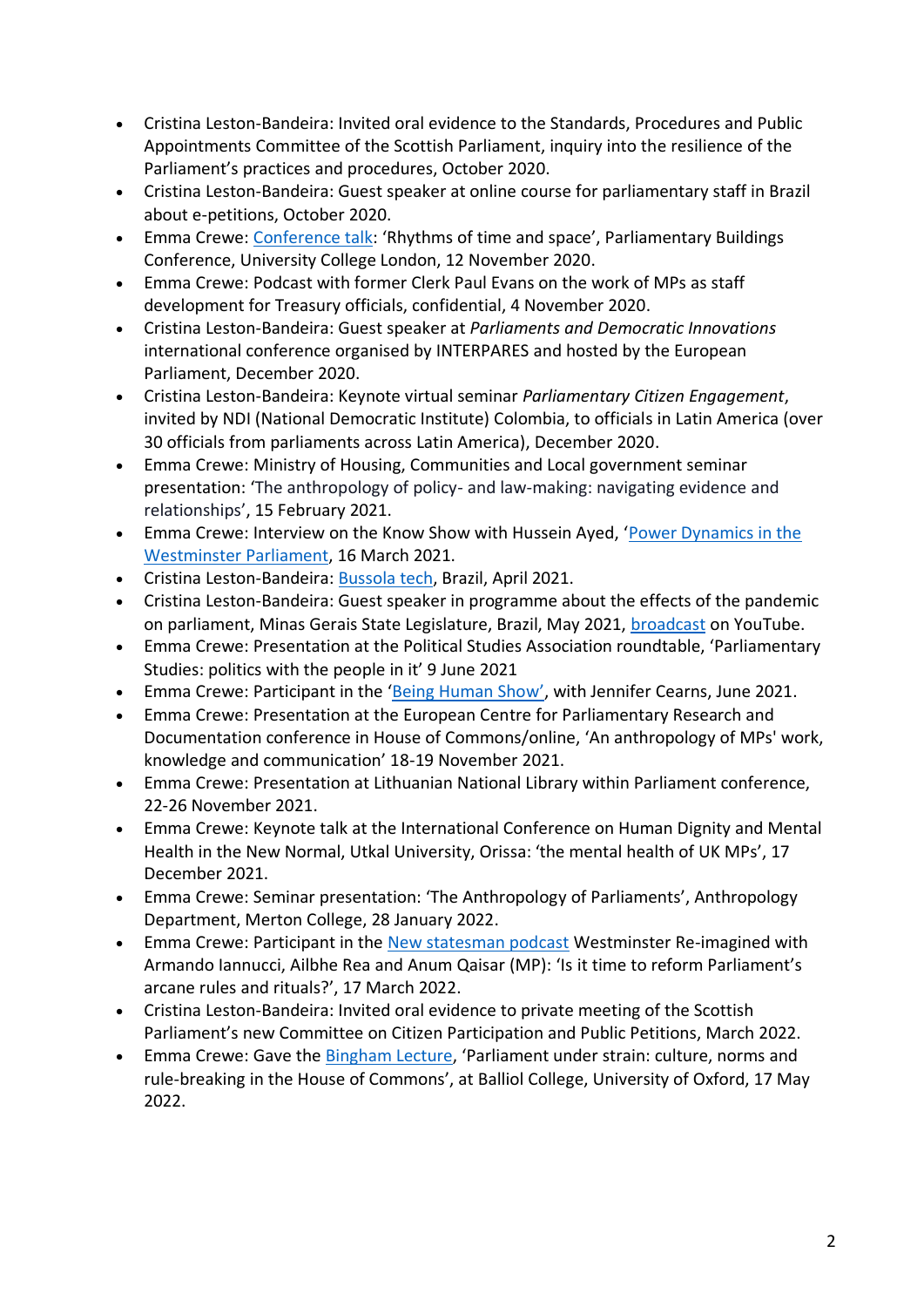- Cristina Leston-Bandeira: Invited oral evidence to the Standards, Procedures and Public Appointments Committee of the Scottish Parliament, inquiry into the resilience of the Parliament's practices and procedures, October 2020.
- Cristina Leston-Bandeira: Guest speaker at online course for parliamentary staff in Brazil about e-petitions, October 2020.
- Emma Crewe: [Conference talk](https://www.ucl.ac.uk/european-institute/events/2020/nov/parliament-buildings-architecture-power-accountability-and-democracy-europe): 'Rhythms of time and space', Parliamentary Buildings Conference, University College London, 12 November 2020.
- Emma Crewe: Podcast with former Clerk Paul Evans on the work of MPs as staff development for Treasury officials, confidential, 4 November 2020.
- Cristina Leston-Bandeira: Guest speaker at *Parliaments and Democratic Innovations* international conference organised by INTERPARES and hosted by the European Parliament, December 2020.
- Cristina Leston-Bandeira: Keynote virtual seminar *Parliamentary Citizen Engagement*, invited by NDI (National Democratic Institute) Colombia, to officials in Latin America (over 30 officials from parliaments across Latin America), December 2020.
- Emma Crewe: Ministry of Housing, Communities and Local government seminar presentation: 'The anthropology of policy- and law-making: navigating evidence and relationships', 15 February 2021.
- Emma Crewe: Interview on the Know Show with Hussein Ayed, 'Power Dynamics in the [Westminster Parliament,](https://theknowshowpodcast.podbean.com/e/power-dynamics-in-parliament-and-the-house-of-lords-dr-emma-crewe/) 16 March 2021.
- Cristina Leston-Bandeira: [Bussola tech,](https://bussola-tech.co/videos_membros/basic-principles-legistech/) Brazil, April 2021.
- Cristina Leston-Bandeira: Guest speaker in programme about the effects of the pandemic on parliament, Minas Gerais State Legislature, Brazil, May 2021, **broadcast on YouTube**.
- Emma Crewe: Presentation at the Political Studies Association roundtable, 'Parliamentary Studies: politics with the people in it' 9 June 2021
- Emma Crewe: Participant in the ['Being Human Show'](https://open.spotify.com/episode/1ICaadCl3uF5Jw8TMAWGIF?si=1bd2bacfa6dc4291&nd=1), with Jennifer Cearns, June 2021.
- Emma Crewe: Presentation at the European Centre for Parliamentary Research and Documentation conference in House of Commons/online, 'An anthropology of MPs' work, knowledge and communication' 18-19 November 2021.
- Emma Crewe: Presentation at Lithuanian National Library within Parliament conference, 22-26 November 2021.
- Emma Crewe: Keynote talk at the International Conference on Human Dignity and Mental Health in the New Normal, Utkal University, Orissa: 'the mental health of UK MPs', 17 December 2021.
- Emma Crewe: Seminar presentation: 'The Anthropology of Parliaments', Anthropology Department, Merton College, 28 January 2022.
- Emma Crewe: Participant in the [New statesman podcast](https://shows.acast.com/newstatesman/episodes/is-it-time-to-reform-parliaments-arcane-rules-and-rituals-we) Westminster Re-imagined with Armando Iannucci, Ailbhe Rea and Anum Qaisar (MP): 'Is it time to reform Parliament's arcane rules and rituals?', 17 March 2022.
- Cristina Leston-Bandeira: Invited oral evidence to private meeting of the Scottish Parliament's new Committee on Citizen Participation and Public Petitions, March 2022.
- Emma Crewe: Gave the **Bingham Lecture**, 'Parliament under strain: culture, norms and rule-breaking in the House of Commons', at Balliol College, University of Oxford, 17 May 2022.